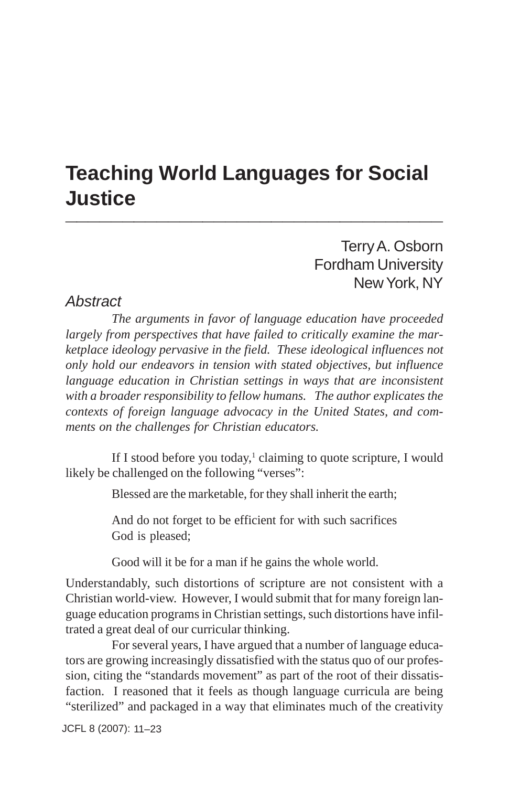# **Teaching World Languages for Social Justice \_\_\_\_\_\_\_\_\_\_\_\_\_\_\_\_\_\_\_\_\_\_\_\_\_\_\_\_\_\_\_\_\_**

Terry A. Osborn Fordham University New York, NY

### *Abstract*

*The arguments in favor of language education have proceeded largely from perspectives that have failed to critically examine the marketplace ideology pervasive in the field. These ideological influences not only hold our endeavors in tension with stated objectives, but influence language education in Christian settings in ways that are inconsistent with a broader responsibility to fellow humans. The author explicates the contexts of foreign language advocacy in the United States, and comments on the challenges for Christian educators.*

If I stood before you today,<sup>1</sup> claiming to quote scripture, I would likely be challenged on the following "verses":

Blessed are the marketable, for they shall inherit the earth;

And do not forget to be efficient for with such sacrifices God is pleased;

Good will it be for a man if he gains the whole world.

Understandably, such distortions of scripture are not consistent with a Christian world-view. However, I would submit that for many foreign language education programs in Christian settings, such distortions have infiltrated a great deal of our curricular thinking.

For several years, I have argued that a number of language educators are growing increasingly dissatisfied with the status quo of our profession, citing the "standards movement" as part of the root of their dissatisfaction. I reasoned that it feels as though language curricula are being "sterilized" and packaged in a way that eliminates much of the creativity

JCFL 8 (2007): 11–23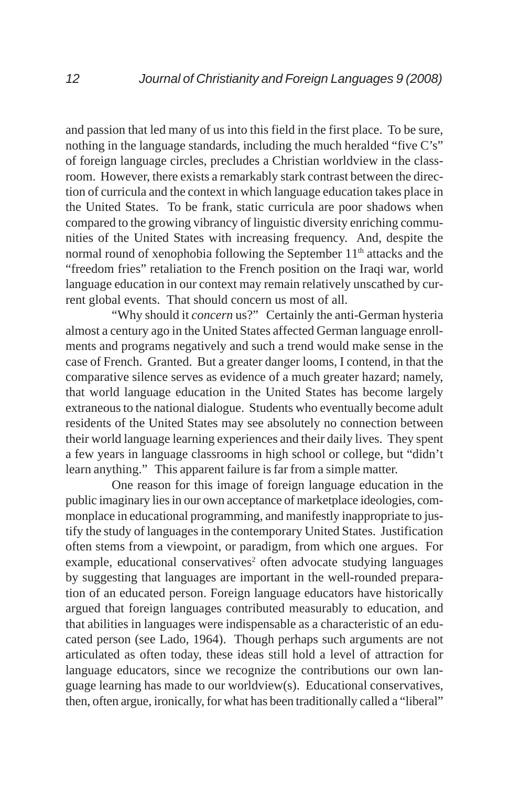and passion that led many of us into this field in the first place. To be sure, nothing in the language standards, including the much heralded "five C's" of foreign language circles, precludes a Christian worldview in the classroom. However, there exists a remarkably stark contrast between the direction of curricula and the context in which language education takes place in the United States. To be frank, static curricula are poor shadows when compared to the growing vibrancy of linguistic diversity enriching communities of the United States with increasing frequency. And, despite the normal round of xenophobia following the September  $11<sup>th</sup>$  attacks and the "freedom fries" retaliation to the French position on the Iraqi war, world language education in our context may remain relatively unscathed by current global events. That should concern us most of all.

"Why should it *concern* us?" Certainly the anti-German hysteria almost a century ago in the United States affected German language enrollments and programs negatively and such a trend would make sense in the case of French. Granted. But a greater danger looms, I contend, in that the comparative silence serves as evidence of a much greater hazard; namely, that world language education in the United States has become largely extraneous to the national dialogue. Students who eventually become adult residents of the United States may see absolutely no connection between their world language learning experiences and their daily lives. They spent a few years in language classrooms in high school or college, but "didn't learn anything." This apparent failure is far from a simple matter.

One reason for this image of foreign language education in the public imaginary lies in our own acceptance of marketplace ideologies, commonplace in educational programming, and manifestly inappropriate to justify the study of languages in the contemporary United States. Justification often stems from a viewpoint, or paradigm, from which one argues. For example, educational conservatives<sup>2</sup> often advocate studying languages by suggesting that languages are important in the well-rounded preparation of an educated person. Foreign language educators have historically argued that foreign languages contributed measurably to education, and that abilities in languages were indispensable as a characteristic of an educated person (see Lado, 1964). Though perhaps such arguments are not articulated as often today, these ideas still hold a level of attraction for language educators, since we recognize the contributions our own language learning has made to our worldview(s). Educational conservatives, then, often argue, ironically, for what has been traditionally called a "liberal"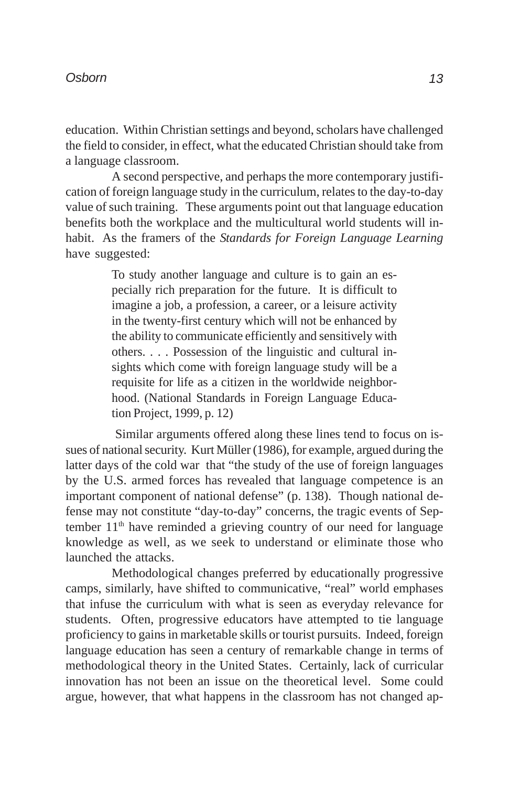education. Within Christian settings and beyond, scholars have challenged the field to consider, in effect, what the educated Christian should take from a language classroom.

A second perspective, and perhaps the more contemporary justification of foreign language study in the curriculum, relates to the day-to-day value of such training. These arguments point out that language education benefits both the workplace and the multicultural world students will inhabit. As the framers of the *Standards for Foreign Language Learning* have suggested:

> To study another language and culture is to gain an especially rich preparation for the future. It is difficult to imagine a job, a profession, a career, or a leisure activity in the twenty-first century which will not be enhanced by the ability to communicate efficiently and sensitively with others. . . . Possession of the linguistic and cultural insights which come with foreign language study will be a requisite for life as a citizen in the worldwide neighborhood. (National Standards in Foreign Language Education Project, 1999, p. 12)

 Similar arguments offered along these lines tend to focus on issues of national security. Kurt Müller (1986), for example, argued during the latter days of the cold war that "the study of the use of foreign languages by the U.S. armed forces has revealed that language competence is an important component of national defense" (p. 138). Though national defense may not constitute "day-to-day" concerns, the tragic events of September  $11<sup>th</sup>$  have reminded a grieving country of our need for language knowledge as well, as we seek to understand or eliminate those who launched the attacks.

Methodological changes preferred by educationally progressive camps, similarly, have shifted to communicative, "real" world emphases that infuse the curriculum with what is seen as everyday relevance for students. Often, progressive educators have attempted to tie language proficiency to gains in marketable skills or tourist pursuits. Indeed, foreign language education has seen a century of remarkable change in terms of methodological theory in the United States. Certainly, lack of curricular innovation has not been an issue on the theoretical level. Some could argue, however, that what happens in the classroom has not changed ap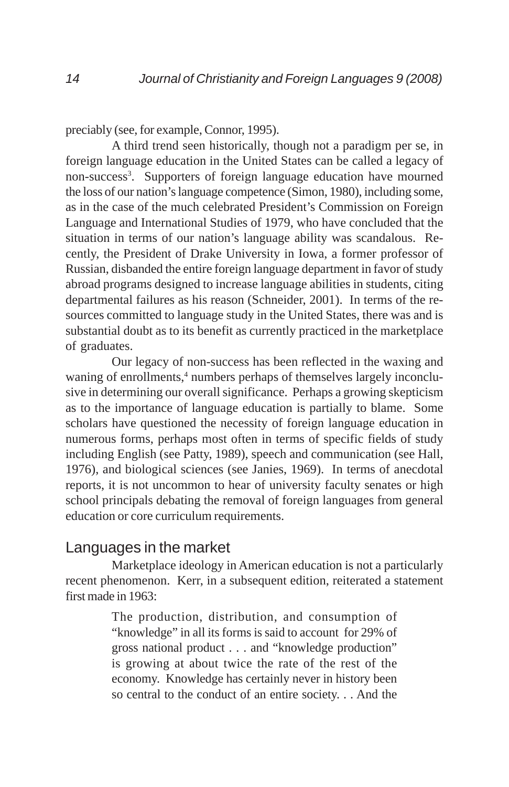preciably (see, for example, Connor, 1995).

A third trend seen historically, though not a paradigm per se, in foreign language education in the United States can be called a legacy of non-success<sup>3</sup>. Supporters of foreign language education have mourned the loss of our nation's language competence (Simon, 1980), including some, as in the case of the much celebrated President's Commission on Foreign Language and International Studies of 1979, who have concluded that the situation in terms of our nation's language ability was scandalous. Recently, the President of Drake University in Iowa, a former professor of Russian, disbanded the entire foreign language department in favor of study abroad programs designed to increase language abilities in students, citing departmental failures as his reason (Schneider, 2001). In terms of the resources committed to language study in the United States, there was and is substantial doubt as to its benefit as currently practiced in the marketplace of graduates.

Our legacy of non-success has been reflected in the waxing and waning of enrollments,<sup>4</sup> numbers perhaps of themselves largely inconclusive in determining our overall significance. Perhaps a growing skepticism as to the importance of language education is partially to blame. Some scholars have questioned the necessity of foreign language education in numerous forms, perhaps most often in terms of specific fields of study including English (see Patty, 1989), speech and communication (see Hall, 1976), and biological sciences (see Janies, 1969). In terms of anecdotal reports, it is not uncommon to hear of university faculty senates or high school principals debating the removal of foreign languages from general education or core curriculum requirements.

### Languages in the market

Marketplace ideology in American education is not a particularly recent phenomenon. Kerr, in a subsequent edition, reiterated a statement first made in 1963:

> The production, distribution, and consumption of "knowledge" in all its forms is said to account for 29% of gross national product . . . and "knowledge production" is growing at about twice the rate of the rest of the economy. Knowledge has certainly never in history been so central to the conduct of an entire society. . . And the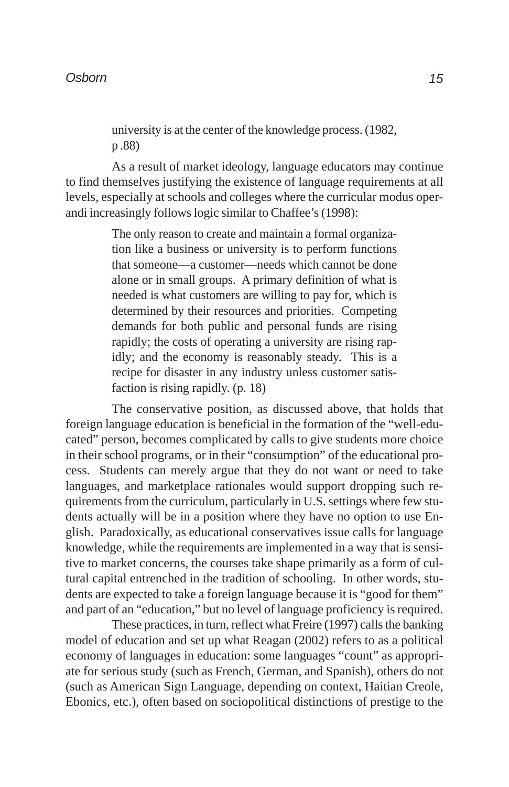university is at the center of the knowledge process. (1982, p .88)

As a result of market ideology, language educators may continue to find themselves justifying the existence of language requirements at all levels, especially at schools and colleges where the curricular modus operandi increasingly follows logic similar to Chaffee's (1998):

> The only reason to create and maintain a formal organization like a business or university is to perform functions that someone—a customer—needs which cannot be done alone or in small groups. A primary definition of what is needed is what customers are willing to pay for, which is determined by their resources and priorities. Competing demands for both public and personal funds are rising rapidly; the costs of operating a university are rising rapidly; and the economy is reasonably steady. This is a recipe for disaster in any industry unless customer satisfaction is rising rapidly. (p. 18)

The conservative position, as discussed above, that holds that foreign language education is beneficial in the formation of the "well-educated" person, becomes complicated by calls to give students more choice in their school programs, or in their "consumption" of the educational process. Students can merely argue that they do not want or need to take languages, and marketplace rationales would support dropping such requirements from the curriculum, particularly in U.S. settings where few students actually will be in a position where they have no option to use English. Paradoxically, as educational conservatives issue calls for language knowledge, while the requirements are implemented in a way that is sensitive to market concerns, the courses take shape primarily as a form of cultural capital entrenched in the tradition of schooling. In other words, students are expected to take a foreign language because it is "good for them" and part of an "education," but no level of language proficiency is required.

These practices, in turn, reflect what Freire (1997) calls the banking model of education and set up what Reagan (2002) refers to as a political economy of languages in education: some languages "count" as appropriate for serious study (such as French, German, and Spanish), others do not (such as American Sign Language, depending on context, Haitian Creole, Ebonics, etc.), often based on sociopolitical distinctions of prestige to the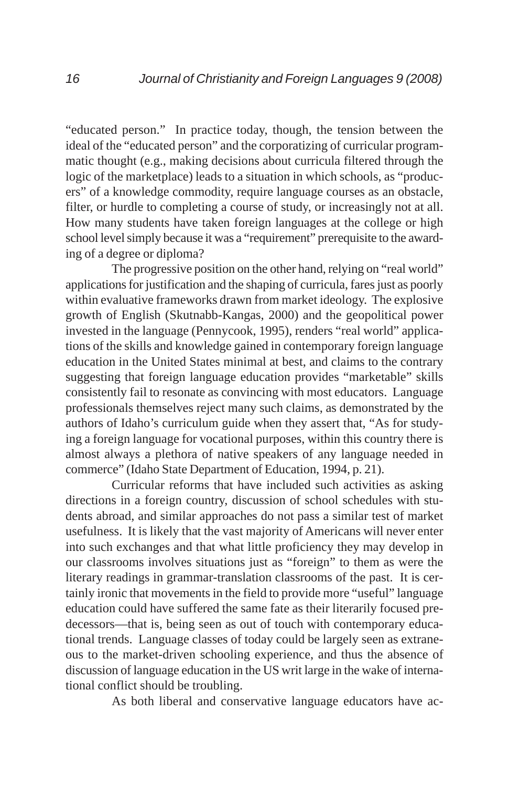"educated person." In practice today, though, the tension between the ideal of the "educated person" and the corporatizing of curricular programmatic thought (e.g., making decisions about curricula filtered through the logic of the marketplace) leads to a situation in which schools, as "producers" of a knowledge commodity, require language courses as an obstacle, filter, or hurdle to completing a course of study, or increasingly not at all. How many students have taken foreign languages at the college or high school level simply because it was a "requirement" prerequisite to the awarding of a degree or diploma?

The progressive position on the other hand, relying on "real world" applications for justification and the shaping of curricula, fares just as poorly within evaluative frameworks drawn from market ideology. The explosive growth of English (Skutnabb-Kangas, 2000) and the geopolitical power invested in the language (Pennycook, 1995), renders "real world" applications of the skills and knowledge gained in contemporary foreign language education in the United States minimal at best, and claims to the contrary suggesting that foreign language education provides "marketable" skills consistently fail to resonate as convincing with most educators. Language professionals themselves reject many such claims, as demonstrated by the authors of Idaho's curriculum guide when they assert that, "As for studying a foreign language for vocational purposes, within this country there is almost always a plethora of native speakers of any language needed in commerce" (Idaho State Department of Education, 1994, p. 21).

Curricular reforms that have included such activities as asking directions in a foreign country, discussion of school schedules with students abroad, and similar approaches do not pass a similar test of market usefulness. It is likely that the vast majority of Americans will never enter into such exchanges and that what little proficiency they may develop in our classrooms involves situations just as "foreign" to them as were the literary readings in grammar-translation classrooms of the past. It is certainly ironic that movements in the field to provide more "useful" language education could have suffered the same fate as their literarily focused predecessors—that is, being seen as out of touch with contemporary educational trends. Language classes of today could be largely seen as extraneous to the market-driven schooling experience, and thus the absence of discussion of language education in the US writ large in the wake of international conflict should be troubling.

As both liberal and conservative language educators have ac-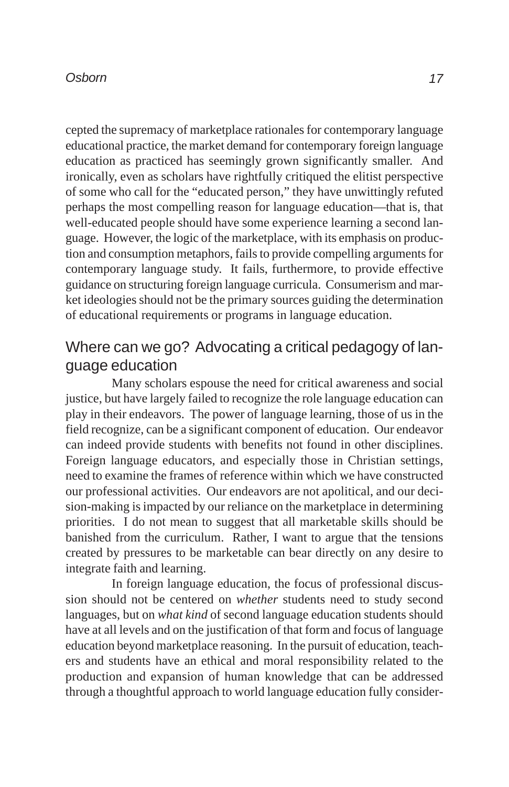cepted the supremacy of marketplace rationales for contemporary language educational practice, the market demand for contemporary foreign language education as practiced has seemingly grown significantly smaller. And ironically, even as scholars have rightfully critiqued the elitist perspective of some who call for the "educated person," they have unwittingly refuted perhaps the most compelling reason for language education—that is, that well-educated people should have some experience learning a second language. However, the logic of the marketplace, with its emphasis on production and consumption metaphors, fails to provide compelling arguments for contemporary language study. It fails, furthermore, to provide effective guidance on structuring foreign language curricula. Consumerism and market ideologies should not be the primary sources guiding the determination of educational requirements or programs in language education.

## Where can we go? Advocating a critical pedagogy of language education

Many scholars espouse the need for critical awareness and social justice, but have largely failed to recognize the role language education can play in their endeavors. The power of language learning, those of us in the field recognize, can be a significant component of education. Our endeavor can indeed provide students with benefits not found in other disciplines. Foreign language educators, and especially those in Christian settings, need to examine the frames of reference within which we have constructed our professional activities. Our endeavors are not apolitical, and our decision-making is impacted by our reliance on the marketplace in determining priorities. I do not mean to suggest that all marketable skills should be banished from the curriculum. Rather, I want to argue that the tensions created by pressures to be marketable can bear directly on any desire to integrate faith and learning.

In foreign language education, the focus of professional discussion should not be centered on *whether* students need to study second languages, but on *what kind* of second language education students should have at all levels and on the justification of that form and focus of language education beyond marketplace reasoning. In the pursuit of education, teachers and students have an ethical and moral responsibility related to the production and expansion of human knowledge that can be addressed through a thoughtful approach to world language education fully consider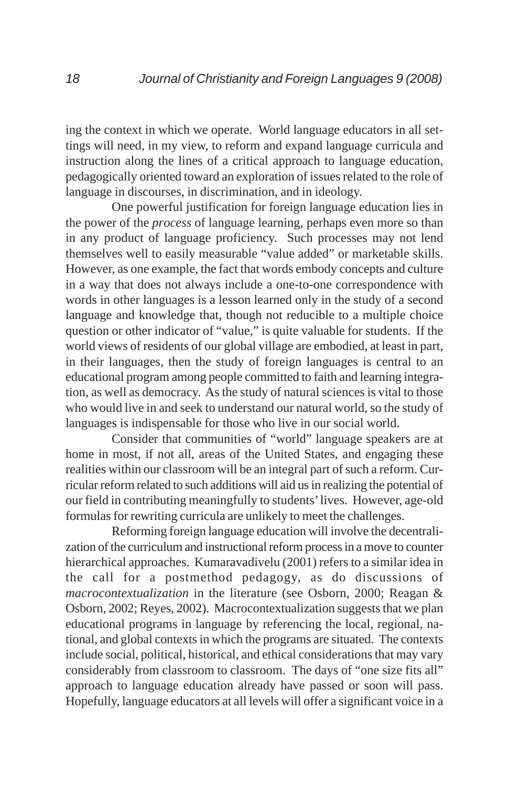ing the context in which we operate. World language educators in all settings will need, in my view, to reform and expand language curricula and instruction along the lines of a critical approach to language education, pedagogically oriented toward an exploration of issues related to the role of language in discourses, in discrimination, and in ideology.

One powerful justification for foreign language education lies in the power of the *process* of language learning, perhaps even more so than in any product of language proficiency. Such processes may not lend themselves well to easily measurable "value added" or marketable skills. However, as one example, the fact that words embody concepts and culture in a way that does not always include a one-to-one correspondence with words in other languages is a lesson learned only in the study of a second language and knowledge that, though not reducible to a multiple choice question or other indicator of "value," is quite valuable for students. If the world views of residents of our global village are embodied, at least in part, in their languages, then the study of foreign languages is central to an educational program among people committed to faith and learning integration, as well as democracy. As the study of natural sciences is vital to those who would live in and seek to understand our natural world, so the study of languages is indispensable for those who live in our social world.

Consider that communities of "world" language speakers are at home in most, if not all, areas of the United States, and engaging these realities within our classroom will be an integral part of such a reform. Curricular reform related to such additions will aid us in realizing the potential of our field in contributing meaningfully to students' lives. However, age-old formulas for rewriting curricula are unlikely to meet the challenges.

Reforming foreign language education will involve the decentralization of the curriculum and instructional reform process in a move to counter hierarchical approaches. Kumaravadivelu (2001) refers to a similar idea in the call for a postmethod pedagogy, as do discussions of *macrocontextualization* in the literature (see Osborn, 2000; Reagan & Osborn, 2002; Reyes, 2002). Macrocontextualization suggests that we plan educational programs in language by referencing the local, regional, national, and global contexts in which the programs are situated. The contexts include social, political, historical, and ethical considerations that may vary considerably from classroom to classroom. The days of "one size fits all" approach to language education already have passed or soon will pass. Hopefully, language educators at all levels will offer a significant voice in a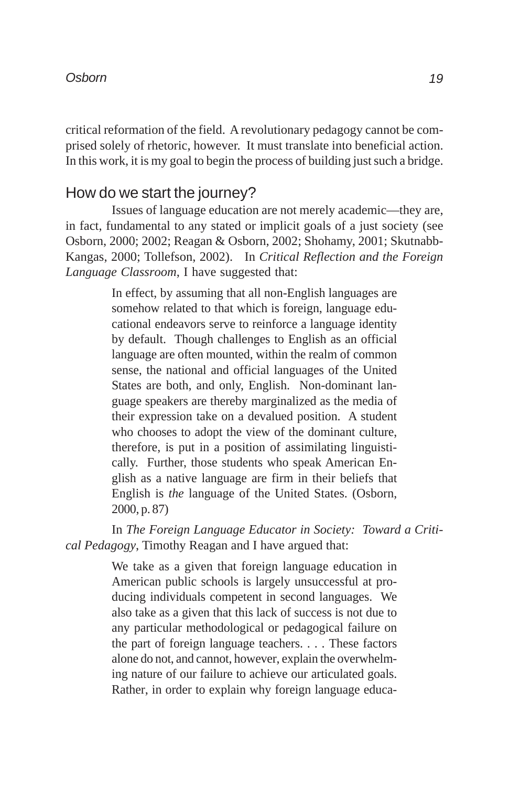critical reformation of the field. A revolutionary pedagogy cannot be comprised solely of rhetoric, however. It must translate into beneficial action. In this work, it is my goal to begin the process of building just such a bridge.

## How do we start the journey?

Issues of language education are not merely academic—they are, in fact, fundamental to any stated or implicit goals of a just society (see Osborn, 2000; 2002; Reagan & Osborn, 2002; Shohamy, 2001; Skutnabb-Kangas, 2000; Tollefson, 2002). In *Critical Reflection and the Foreign Language Classroom*, I have suggested that:

> In effect, by assuming that all non-English languages are somehow related to that which is foreign, language educational endeavors serve to reinforce a language identity by default. Though challenges to English as an official language are often mounted, within the realm of common sense, the national and official languages of the United States are both, and only, English. Non-dominant language speakers are thereby marginalized as the media of their expression take on a devalued position. A student who chooses to adopt the view of the dominant culture, therefore, is put in a position of assimilating linguistically. Further, those students who speak American English as a native language are firm in their beliefs that English is *the* language of the United States. (Osborn, 2000, p. 87)

In *The Foreign Language Educator in Society: Toward a Critical Pedagogy*, Timothy Reagan and I have argued that:

> We take as a given that foreign language education in American public schools is largely unsuccessful at producing individuals competent in second languages. We also take as a given that this lack of success is not due to any particular methodological or pedagogical failure on the part of foreign language teachers. . . . These factors alone do not, and cannot, however, explain the overwhelming nature of our failure to achieve our articulated goals. Rather, in order to explain why foreign language educa-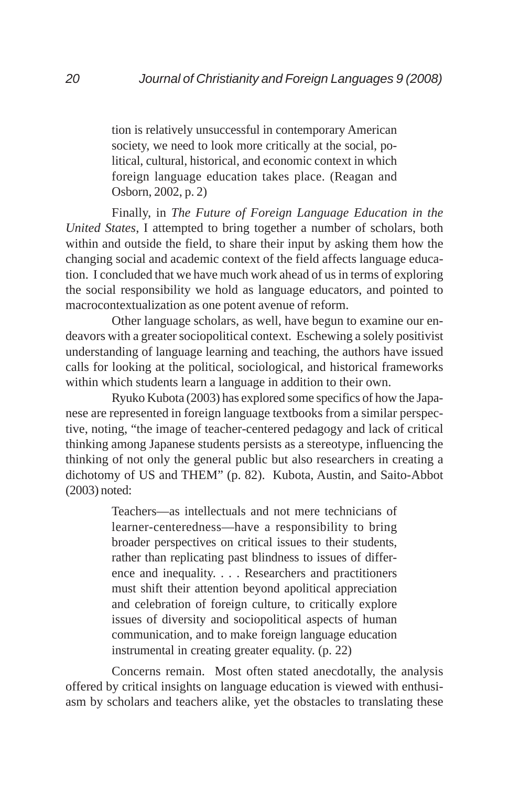tion is relatively unsuccessful in contemporary American society, we need to look more critically at the social, political, cultural, historical, and economic context in which foreign language education takes place. (Reagan and Osborn, 2002, p. 2)

Finally, in *The Future of Foreign Language Education in the United States*, I attempted to bring together a number of scholars, both within and outside the field, to share their input by asking them how the changing social and academic context of the field affects language education. I concluded that we have much work ahead of us in terms of exploring the social responsibility we hold as language educators, and pointed to macrocontextualization as one potent avenue of reform.

Other language scholars, as well, have begun to examine our endeavors with a greater sociopolitical context. Eschewing a solely positivist understanding of language learning and teaching, the authors have issued calls for looking at the political, sociological, and historical frameworks within which students learn a language in addition to their own.

Ryuko Kubota (2003) has explored some specifics of how the Japanese are represented in foreign language textbooks from a similar perspective, noting, "the image of teacher-centered pedagogy and lack of critical thinking among Japanese students persists as a stereotype, influencing the thinking of not only the general public but also researchers in creating a dichotomy of US and THEM" (p. 82). Kubota, Austin, and Saito-Abbot (2003) noted:

> Teachers—as intellectuals and not mere technicians of learner-centeredness—have a responsibility to bring broader perspectives on critical issues to their students, rather than replicating past blindness to issues of difference and inequality. . . . Researchers and practitioners must shift their attention beyond apolitical appreciation and celebration of foreign culture, to critically explore issues of diversity and sociopolitical aspects of human communication, and to make foreign language education instrumental in creating greater equality. (p. 22)

Concerns remain. Most often stated anecdotally, the analysis offered by critical insights on language education is viewed with enthusiasm by scholars and teachers alike, yet the obstacles to translating these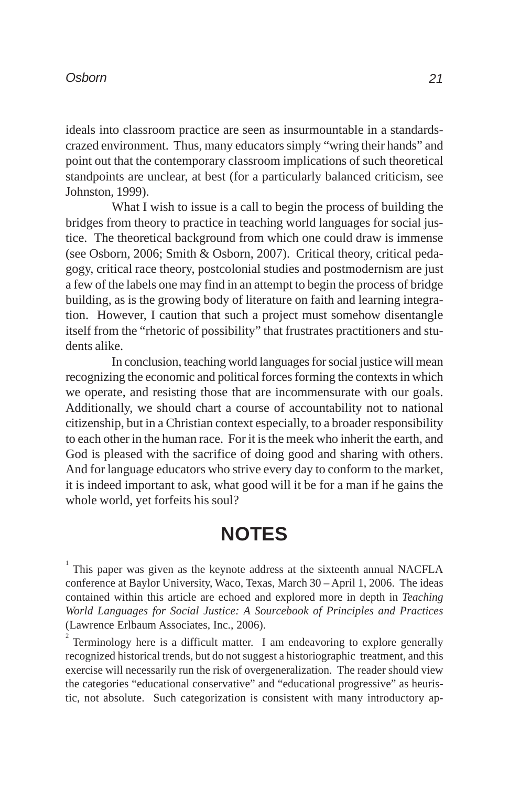ideals into classroom practice are seen as insurmountable in a standardscrazed environment. Thus, many educators simply "wring their hands" and point out that the contemporary classroom implications of such theoretical standpoints are unclear, at best (for a particularly balanced criticism, see Johnston, 1999).

What I wish to issue is a call to begin the process of building the bridges from theory to practice in teaching world languages for social justice. The theoretical background from which one could draw is immense (see Osborn, 2006; Smith & Osborn, 2007). Critical theory, critical pedagogy, critical race theory, postcolonial studies and postmodernism are just a few of the labels one may find in an attempt to begin the process of bridge building, as is the growing body of literature on faith and learning integration. However, I caution that such a project must somehow disentangle itself from the "rhetoric of possibility" that frustrates practitioners and students alike.

In conclusion, teaching world languages for social justice will mean recognizing the economic and political forces forming the contexts in which we operate, and resisting those that are incommensurate with our goals. Additionally, we should chart a course of accountability not to national citizenship, but in a Christian context especially, to a broader responsibility to each other in the human race. For it is the meek who inherit the earth, and God is pleased with the sacrifice of doing good and sharing with others. And for language educators who strive every day to conform to the market, it is indeed important to ask, what good will it be for a man if he gains the whole world, yet forfeits his soul?

## **NOTES**

<sup>1</sup> This paper was given as the keynote address at the sixteenth annual NACFLA conference at Baylor University, Waco, Texas, March 30 – April 1, 2006. The ideas contained within this article are echoed and explored more in depth in *Teaching World Languages for Social Justice: A Sourcebook of Principles and Practices* (Lawrence Erlbaum Associates, Inc., 2006).

 $2$  Terminology here is a difficult matter. I am endeavoring to explore generally recognized historical trends, but do not suggest a historiographic treatment, and this exercise will necessarily run the risk of overgeneralization. The reader should view the categories "educational conservative" and "educational progressive" as heuristic, not absolute. Such categorization is consistent with many introductory ap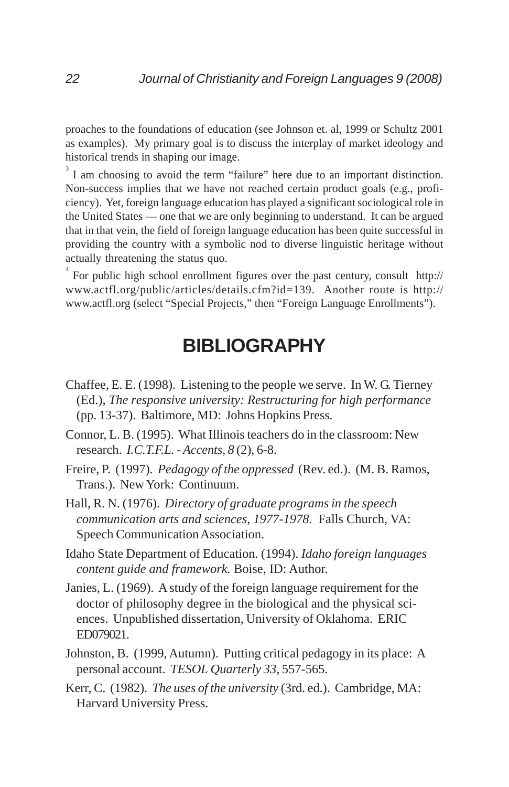proaches to the foundations of education (see Johnson et. al, 1999 or Schultz 2001 as examples). My primary goal is to discuss the interplay of market ideology and historical trends in shaping our image.

 $3<sup>3</sup>$  I am choosing to avoid the term "failure" here due to an important distinction. Non-success implies that we have not reached certain product goals (e.g., proficiency). Yet, foreign language education has played a significant sociological role in the United States — one that we are only beginning to understand. It can be argued that in that vein, the field of foreign language education has been quite successful in providing the country with a symbolic nod to diverse linguistic heritage without actually threatening the status quo.

4 For public high school enrollment figures over the past century, consult http:// www.actfl.org/public/articles/details.cfm?id=139. Another route is http:// www.actfl.org (select "Special Projects," then "Foreign Language Enrollments").

## **BIBLIOGRAPHY**

- Chaffee, E. E. (1998). Listening to the people we serve. In W. G. Tierney (Ed.), *The responsive university: Restructuring for high performance* (pp. 13-37). Baltimore, MD: Johns Hopkins Press.
- Connor, L. B. (1995). What Illinois teachers do in the classroom: New research. *I.C.T.F.L. - Accents, 8* (2), 6-8.
- Freire, P. (1997). *Pedagogy of the oppressed* (Rev. ed.). (M. B. Ramos, Trans.). New York: Continuum.
- Hall, R. N. (1976). *Directory of graduate programs in the speech communication arts and sciences, 1977-1978*. Falls Church, VA: Speech Communication Association.
- Idaho State Department of Education. (1994). *Idaho foreign languages content guide and framework.* Boise, ID: Author.
- Janies, L. (1969). A study of the foreign language requirement for the doctor of philosophy degree in the biological and the physical sciences. Unpublished dissertation, University of Oklahoma. ERIC ED079021.
- Johnston, B. (1999, Autumn). Putting critical pedagogy in its place: A personal account. *TESOL Quarterly 33*, 557-565.
- Kerr, C. (1982). *The uses of the university* (3rd. ed.). Cambridge, MA: Harvard University Press.